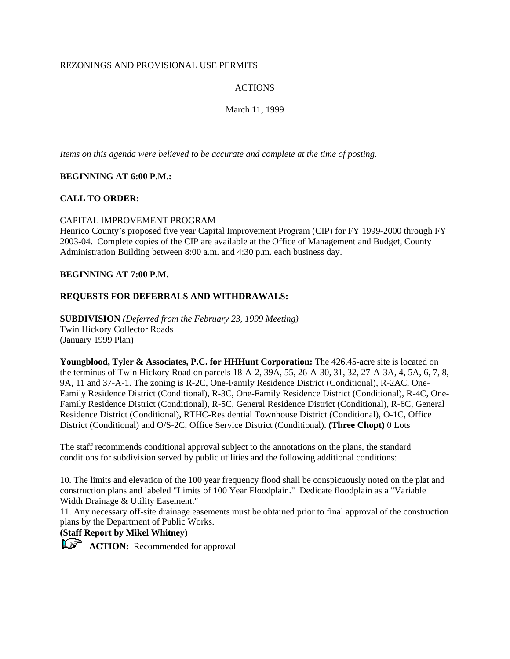### REZONINGS AND PROVISIONAL USE PERMITS

## ACTIONS

## March 11, 1999

*Items on this agenda were believed to be accurate and complete at the time of posting.*

### **BEGINNING AT 6:00 P.M.:**

### **CALL TO ORDER:**

### CAPITAL IMPROVEMENT PROGRAM

Henrico County's proposed five year Capital Improvement Program (CIP) for FY 1999-2000 through FY 2003-04. Complete copies of the CIP are available at the Office of Management and Budget, County Administration Building between 8:00 a.m. and 4:30 p.m. each business day.

### **BEGINNING AT 7:00 P.M.**

### **REQUESTS FOR DEFERRALS AND WITHDRAWALS:**

**SUBDIVISION** *(Deferred from the February 23, 1999 Meeting)* Twin Hickory Collector Roads (January 1999 Plan)

**Youngblood, Tyler & Associates, P.C. for HHHunt Corporation:** The 426.45-acre site is located on the terminus of Twin Hickory Road on parcels 18-A-2, 39A, 55, 26-A-30, 31, 32, 27-A-3A, 4, 5A, 6, 7, 8, 9A, 11 and 37-A-1. The zoning is R-2C, One-Family Residence District (Conditional), R-2AC, One-Family Residence District (Conditional), R-3C, One-Family Residence District (Conditional), R-4C, One-Family Residence District (Conditional), R-5C, General Residence District (Conditional), R-6C, General Residence District (Conditional), RTHC-Residential Townhouse District (Conditional), O-1C, Office District (Conditional) and O/S-2C, Office Service District (Conditional). **(Three Chopt)** 0 Lots

The staff recommends conditional approval subject to the annotations on the plans, the standard conditions for subdivision served by public utilities and the following additional conditions:

10. The limits and elevation of the 100 year frequency flood shall be conspicuously noted on the plat and construction plans and labeled "Limits of 100 Year Floodplain." Dedicate floodplain as a "Variable Width Drainage & Utility Easement."

11. Any necessary off-site drainage easements must be obtained prior to final approval of the construction plans by the Department of Public Works.

**(Staff Report by Mikel Whitney)**

**ACTION:** Recommended for approval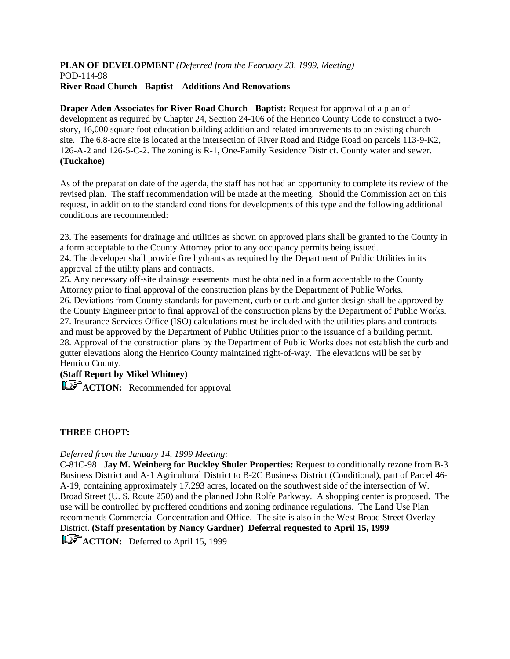### **PLAN OF DEVELOPMENT** *(Deferred from the February 23, 1999, Meeting)* POD-114-98 **River Road Church - Baptist – Additions And Renovations**

**Draper Aden Associates for River Road Church - Baptist:** Request for approval of a plan of development as required by Chapter 24, Section 24-106 of the Henrico County Code to construct a twostory, 16,000 square foot education building addition and related improvements to an existing church site. The 6.8-acre site is located at the intersection of River Road and Ridge Road on parcels 113-9-K2, 126-A-2 and 126-5-C-2. The zoning is R-1, One-Family Residence District. County water and sewer. **(Tuckahoe)**

As of the preparation date of the agenda, the staff has not had an opportunity to complete its review of the revised plan. The staff recommendation will be made at the meeting. Should the Commission act on this request, in addition to the standard conditions for developments of this type and the following additional conditions are recommended:

23. The easements for drainage and utilities as shown on approved plans shall be granted to the County in a form acceptable to the County Attorney prior to any occupancy permits being issued. 24. The developer shall provide fire hydrants as required by the Department of Public Utilities in its approval of the utility plans and contracts.

25. Any necessary off-site drainage easements must be obtained in a form acceptable to the County Attorney prior to final approval of the construction plans by the Department of Public Works. 26. Deviations from County standards for pavement, curb or curb and gutter design shall be approved by the County Engineer prior to final approval of the construction plans by the Department of Public Works. 27. Insurance Services Office (ISO) calculations must be included with the utilities plans and contracts and must be approved by the Department of Public Utilities prior to the issuance of a building permit. 28. Approval of the construction plans by the Department of Public Works does not establish the curb and gutter elevations along the Henrico County maintained right-of-way. The elevations will be set by Henrico County.

## **(Staff Report by Mikel Whitney)**

**ACTION:** Recommended for approval

## **THREE CHOPT:**

## *Deferred from the January 14, 1999 Meeting:*

C-81C-98 **Jay M. Weinberg for Buckley Shuler Properties:** Request to conditionally rezone from B-3 Business District and A-1 Agricultural District to B-2C Business District (Conditional), part of Parcel 46- A-19, containing approximately 17.293 acres, located on the southwest side of the intersection of W. Broad Street (U. S. Route 250) and the planned John Rolfe Parkway. A shopping center is proposed. The use will be controlled by proffered conditions and zoning ordinance regulations. The Land Use Plan recommends Commercial Concentration and Office. The site is also in the West Broad Street Overlay District. **(Staff presentation by Nancy Gardner) Deferral requested to April 15, 1999**

**ACTION:** Deferred to April 15, 1999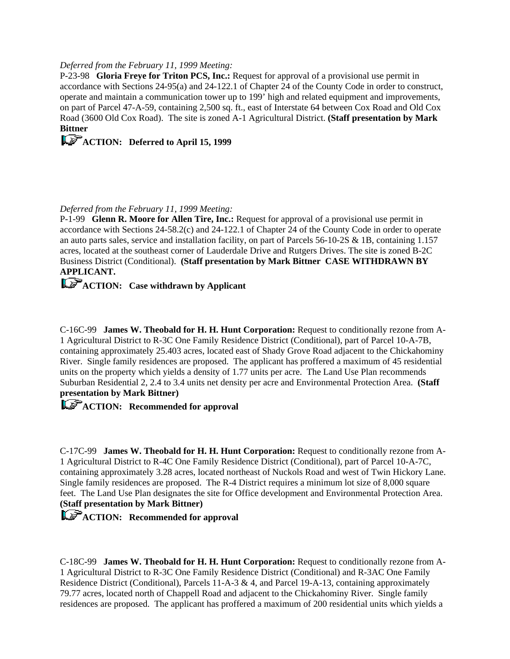### *Deferred from the February 11, 1999 Meeting:*

P-23-98 **Gloria Freye for Triton PCS, Inc.:** Request for approval of a provisional use permit in accordance with Sections 24-95(a) and 24-122.1 of Chapter 24 of the County Code in order to construct, operate and maintain a communication tower up to 199' high and related equipment and improvements, on part of Parcel 47-A-59, containing 2,500 sq. ft., east of Interstate 64 between Cox Road and Old Cox Road (3600 Old Cox Road). The site is zoned A-1 Agricultural District. **(Staff presentation by Mark Bittner** 



### *Deferred from the February 11, 1999 Meeting:*

P-1-99 **Glenn R. Moore for Allen Tire, Inc.:** Request for approval of a provisional use permit in accordance with Sections 24-58.2(c) and 24-122.1 of Chapter 24 of the County Code in order to operate an auto parts sales, service and installation facility, on part of Parcels 56-10-2S & 1B, containing 1.157 acres, located at the southeast corner of Lauderdale Drive and Rutgers Drives. The site is zoned B-2C Business District (Conditional). **(Staff presentation by Mark Bittner CASE WITHDRAWN BY APPLICANT.** 

**ACTION:** Case withdrawn by Applicant

C-16C-99 **James W. Theobald for H. H. Hunt Corporation:** Request to conditionally rezone from A-1 Agricultural District to R-3C One Family Residence District (Conditional), part of Parcel 10-A-7B, containing approximately 25.403 acres, located east of Shady Grove Road adjacent to the Chickahominy River. Single family residences are proposed. The applicant has proffered a maximum of 45 residential units on the property which yields a density of 1.77 units per acre. The Land Use Plan recommends Suburban Residential 2, 2.4 to 3.4 units net density per acre and Environmental Protection Area. **(Staff presentation by Mark Bittner)** 

## **LET ACTION:** Recommended for approval

C-17C-99 **James W. Theobald for H. H. Hunt Corporation:** Request to conditionally rezone from A-1 Agricultural District to R-4C One Family Residence District (Conditional), part of Parcel 10-A-7C, containing approximately 3.28 acres, located northeast of Nuckols Road and west of Twin Hickory Lane. Single family residences are proposed. The R-4 District requires a minimum lot size of 8,000 square feet. The Land Use Plan designates the site for Office development and Environmental Protection Area. **(Staff presentation by Mark Bittner)** 

**ACTION:** Recommended for approval

C-18C-99 **James W. Theobald for H. H. Hunt Corporation:** Request to conditionally rezone from A-1 Agricultural District to R-3C One Family Residence District (Conditional) and R-3AC One Family Residence District (Conditional), Parcels 11-A-3 & 4, and Parcel 19-A-13, containing approximately 79.77 acres, located north of Chappell Road and adjacent to the Chickahominy River. Single family residences are proposed. The applicant has proffered a maximum of 200 residential units which yields a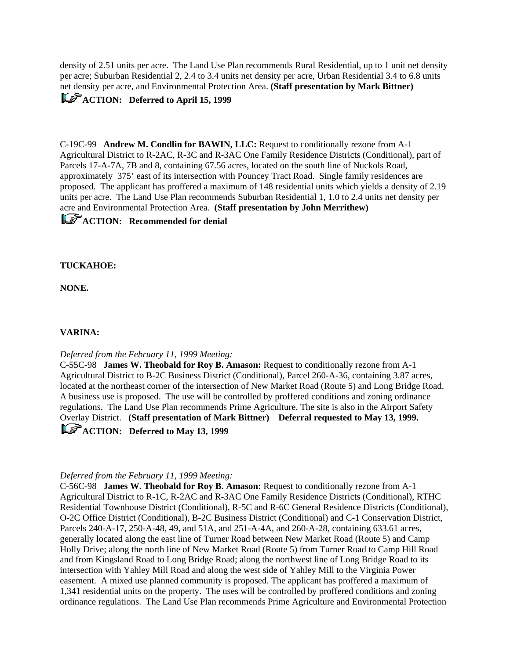density of 2.51 units per acre. The Land Use Plan recommends Rural Residential, up to 1 unit net density per acre; Suburban Residential 2, 2.4 to 3.4 units net density per acre, Urban Residential 3.4 to 6.8 units net density per acre, and Environmental Protection Area. **(Staff presentation by Mark Bittner)** 

## **ACTION:** Deferred to April 15, 1999

C-19C-99 **Andrew M. Condlin for BAWIN, LLC:** Request to conditionally rezone from A-1 Agricultural District to R-2AC, R-3C and R-3AC One Family Residence Districts (Conditional), part of Parcels 17-A-7A, 7B and 8, containing 67.56 acres, located on the south line of Nuckols Road, approximately 375' east of its intersection with Pouncey Tract Road. Single family residences are proposed. The applicant has proffered a maximum of 148 residential units which yields a density of 2.19 units per acre. The Land Use Plan recommends Suburban Residential 1, 1.0 to 2.4 units net density per acre and Environmental Protection Area. **(Staff presentation by John Merrithew)** 

# **ACTION:** Recommended for denial

### **TUCKAHOE:**

**NONE.**

### **VARINA:**

### *Deferred from the February 11, 1999 Meeting:*

C-55C-98 **James W. Theobald for Roy B. Amason:** Request to conditionally rezone from A-1 Agricultural District to B-2C Business District (Conditional), Parcel 260-A-36, containing 3.87 acres, located at the northeast corner of the intersection of New Market Road (Route 5) and Long Bridge Road. A business use is proposed. The use will be controlled by proffered conditions and zoning ordinance regulations. The Land Use Plan recommends Prime Agriculture. The site is also in the Airport Safety Overlay District. **(Staff presentation of Mark Bittner) Deferral requested to May 13, 1999. ACTION:** Deferred to May 13, 1999

### *Deferred from the February 11, 1999 Meeting:*

C-56C-98 **James W. Theobald for Roy B. Amason:** Request to conditionally rezone from A-1 Agricultural District to R-1C, R-2AC and R-3AC One Family Residence Districts (Conditional), RTHC Residential Townhouse District (Conditional), R-5C and R-6C General Residence Districts (Conditional), O-2C Office District (Conditional), B-2C Business District (Conditional) and C-1 Conservation District, Parcels 240-A-17, 250-A-48, 49, and 51A, and 251-A-4A, and 260-A-28, containing 633.61 acres, generally located along the east line of Turner Road between New Market Road (Route 5) and Camp Holly Drive; along the north line of New Market Road (Route 5) from Turner Road to Camp Hill Road and from Kingsland Road to Long Bridge Road; along the northwest line of Long Bridge Road to its intersection with Yahley Mill Road and along the west side of Yahley Mill to the Virginia Power easement. A mixed use planned community is proposed. The applicant has proffered a maximum of 1,341 residential units on the property. The uses will be controlled by proffered conditions and zoning ordinance regulations. The Land Use Plan recommends Prime Agriculture and Environmental Protection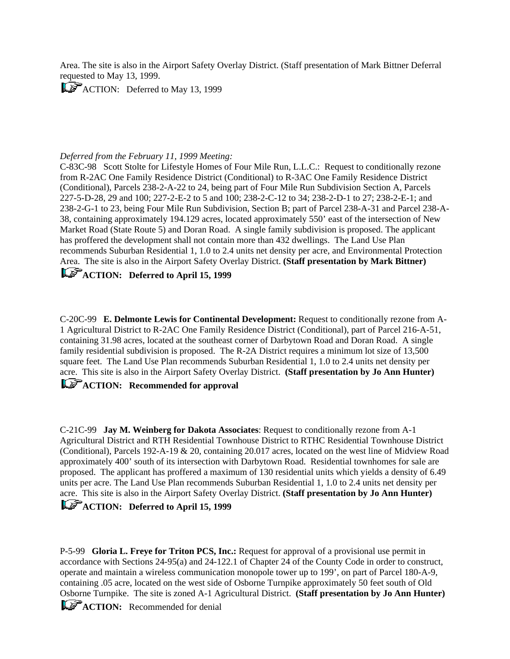Area. The site is also in the Airport Safety Overlay District. (Staff presentation of Mark Bittner Deferral requested to May 13, 1999.

 $\mathbb{L}\mathbb{F}$  ACTION: Deferred to May 13, 1999

### *Deferred from the February 11, 1999 Meeting:*

C-83C-98 Scott Stolte for Lifestyle Homes of Four Mile Run, L.L.C.: Request to conditionally rezone from R-2AC One Family Residence District (Conditional) to R-3AC One Family Residence District (Conditional), Parcels 238-2-A-22 to 24, being part of Four Mile Run Subdivision Section A, Parcels 227-5-D-28, 29 and 100; 227-2-E-2 to 5 and 100; 238-2-C-12 to 34; 238-2-D-1 to 27; 238-2-E-1; and 238-2-G-1 to 23, being Four Mile Run Subdivision, Section B; part of Parcel 238-A-31 and Parcel 238-A-38, containing approximately 194.129 acres, located approximately 550' east of the intersection of New Market Road (State Route 5) and Doran Road. A single family subdivision is proposed. The applicant has proffered the development shall not contain more than 432 dwellings. The Land Use Plan recommends Suburban Residential 1, 1.0 to 2.4 units net density per acre, and Environmental Protection Area. The site is also in the Airport Safety Overlay District. **(Staff presentation by Mark Bittner)** 

## **ACTION:** Deferred to April 15, 1999

C-20C-99 **E. Delmonte Lewis for Continental Development:** Request to conditionally rezone from A-1 Agricultural District to R-2AC One Family Residence District (Conditional), part of Parcel 216-A-51, containing 31.98 acres, located at the southeast corner of Darbytown Road and Doran Road. A single family residential subdivision is proposed. The R-2A District requires a minimum lot size of 13,500 square feet. The Land Use Plan recommends Suburban Residential 1, 1.0 to 2.4 units net density per acre. This site is also in the Airport Safety Overlay District. **(Staff presentation by Jo Ann Hunter)** 

# **ACTION:** Recommended for approval

C-21C-99 **Jay M. Weinberg for Dakota Associates**: Request to conditionally rezone from A-1 Agricultural District and RTH Residential Townhouse District to RTHC Residential Townhouse District (Conditional), Parcels 192-A-19 & 20, containing 20.017 acres, located on the west line of Midview Road approximately 400' south of its intersection with Darbytown Road. Residential townhomes for sale are proposed. The applicant has proffered a maximum of 130 residential units which yields a density of 6.49 units per acre. The Land Use Plan recommends Suburban Residential 1, 1.0 to 2.4 units net density per acre. This site is also in the Airport Safety Overlay District. **(Staff presentation by Jo Ann Hunter) ACTION:** Deferred to April 15, 1999

# P-5-99 **Gloria L. Freye for Triton PCS, Inc.:** Request for approval of a provisional use permit in accordance with Sections 24-95(a) and 24-122.1 of Chapter 24 of the County Code in order to construct, operate and maintain a wireless communication monopole tower up to 199', on part of Parcel 180-A-9, containing .05 acre, located on the west side of Osborne Turnpike approximately 50 feet south of Old Osborne Turnpike. The site is zoned A-1 Agricultural District. **(Staff presentation by Jo Ann Hunter)**

**ACTION:** Recommended for denial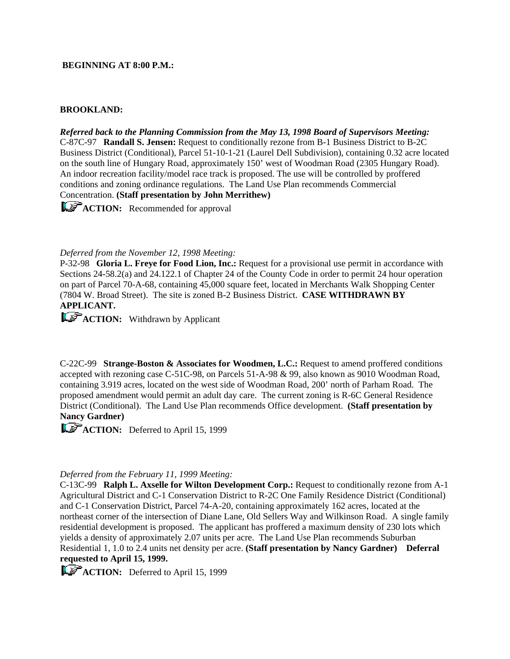### **BEGINNING AT 8:00 P.M.:**

### **BROOKLAND:**

*Referred back to the Planning Commission from the May 13, 1998 Board of Supervisors Meeting:* C-87C-97 **Randall S. Jensen:** Request to conditionally rezone from B-1 Business District to B-2C Business District (Conditional), Parcel 51-10-1-21 (Laurel Dell Subdivision), containing 0.32 acre located on the south line of Hungary Road, approximately 150' west of Woodman Road (2305 Hungary Road). An indoor recreation facility/model race track is proposed. The use will be controlled by proffered conditions and zoning ordinance regulations. The Land Use Plan recommends Commercial Concentration. **(Staff presentation by John Merrithew)**

**ACTION:** Recommended for approval

#### *Deferred from the November 12, 1998 Meeting:*

P-32-98 **Gloria L. Freye for Food Lion, Inc.:** Request for a provisional use permit in accordance with Sections 24-58.2(a) and 24.122.1 of Chapter 24 of the County Code in order to permit 24 hour operation on part of Parcel 70-A-68, containing 45,000 square feet, located in Merchants Walk Shopping Center (7804 W. Broad Street). The site is zoned B-2 Business District. **CASE WITHDRAWN BY APPLICANT.**

**ACTION:** Withdrawn by Applicant

C-22C-99 **Strange-Boston & Associates for Woodmen, L.C.:** Request to amend proffered conditions accepted with rezoning case C-51C-98, on Parcels 51-A-98 & 99, also known as 9010 Woodman Road, containing 3.919 acres, located on the west side of Woodman Road, 200' north of Parham Road. The proposed amendment would permit an adult day care. The current zoning is R-6C General Residence District (Conditional). The Land Use Plan recommends Office development. **(Staff presentation by Nancy Gardner)**

**ACTION:** Deferred to April 15, 1999

#### *Deferred from the February 11, 1999 Meeting:*

C-13C-99 **Ralph L. Axselle for Wilton Development Corp.:** Request to conditionally rezone from A-1 Agricultural District and C-1 Conservation District to R-2C One Family Residence District (Conditional) and C-1 Conservation District, Parcel 74-A-20, containing approximately 162 acres, located at the northeast corner of the intersection of Diane Lane, Old Sellers Way and Wilkinson Road. A single family residential development is proposed. The applicant has proffered a maximum density of 230 lots which yields a density of approximately 2.07 units per acre. The Land Use Plan recommends Suburban Residential 1, 1.0 to 2.4 units net density per acre. **(Staff presentation by Nancy Gardner) Deferral requested to April 15, 1999.**

**ACTION:** Deferred to April 15, 1999